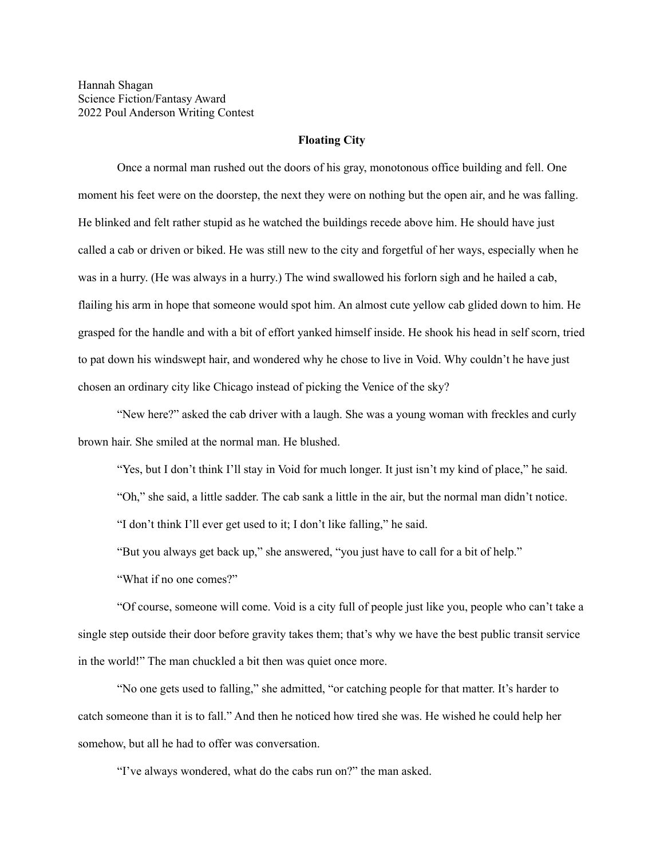## **Floating City**

Once a normal man rushed out the doors of his gray, monotonous office building and fell. One moment his feet were on the doorstep, the next they were on nothing but the open air, and he was falling. He blinked and felt rather stupid as he watched the buildings recede above him. He should have just called a cab or driven or biked. He was still new to the city and forgetful of her ways, especially when he was in a hurry. (He was always in a hurry.) The wind swallowed his forlorn sigh and he hailed a cab, flailing his arm in hope that someone would spot him. An almost cute yellow cab glided down to him. He grasped for the handle and with a bit of effort yanked himself inside. He shook his head in self scorn, tried to pat down his windswept hair, and wondered why he chose to live in Void. Why couldn't he have just chosen an ordinary city like Chicago instead of picking the Venice of the sky?

"New here?" asked the cab driver with a laugh. She was a young woman with freckles and curly brown hair. She smiled at the normal man. He blushed.

"Yes, but I don't think I'll stay in Void for much longer. It just isn't my kind of place," he said.

"Oh," she said, a little sadder. The cab sank a little in the air, but the normal man didn't notice.

"I don't think I'll ever get used to it; I don't like falling," he said.

"But you always get back up," she answered, "you just have to call for a bit of help."

"What if no one comes?"

"Of course, someone will come. Void is a city full of people just like you, people who can't take a single step outside their door before gravity takes them; that's why we have the best public transit service in the world!" The man chuckled a bit then was quiet once more.

"No one gets used to falling," she admitted, "or catching people for that matter. It's harder to catch someone than it is to fall." And then he noticed how tired she was. He wished he could help her somehow, but all he had to offer was conversation.

"I've always wondered, what do the cabs run on?" the man asked.